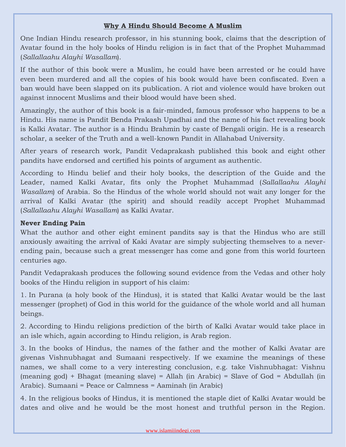## **Why A Hindu Should Become A Muslim**

One Indian Hindu research professor, in his stunning book, claims that the description of Avatar found in the holy books of Hindu religion is in fact that of the Prophet Muhammad (*Sallallaahu Alayhi Wasallam*).

If the author of this book were a Muslim, he could have been arrested or he could have even been murdered and all the copies of his book would have been confiscated. Even a ban would have been slapped on its publication. A riot and violence would have broken out against innocent Muslims and their blood would have been shed.

Amazingly, the author of this book is a fair-minded, famous professor who happens to be a Hindu. His name is Pandit Benda Prakash Upadhai and the name of his fact revealing book is Kalki Avatar. The author is a Hindu Brahmin by caste of Bengali origin. He is a research scholar, a seeker of the Truth and a well-known Pandit in Allahabad University.

After years of research work, Pandit Vedaprakash published this book and eight other pandits have endorsed and certified his points of argument as authentic.

According to Hindu belief and their holy books, the description of the Guide and the Leader, named Kalki Avatar, fits only the Prophet Muhammad (*Sallallaahu Alayhi Wasallam*) of Arabia. So the Hindus of the whole world should not wait any longer for the arrival of Kalki Avatar (the spirit) and should readily accept Prophet Muhammad (*Sallallaahu Alayhi Wasallam*) as Kalki Avatar.

## **Never Ending Pain**

What the author and other eight eminent pandits say is that the Hindus who are still anxiously awaiting the arrival of Kaki Avatar are simply subjecting themselves to a neverending pain, because such a great messenger has come and gone from this world fourteen centuries ago.

Pandit Vedaprakash produces the following sound evidence from the Vedas and other holy books of the Hindu religion in support of his claim:

1. In Purana (a holy book of the Hindus), it is stated that Kalki Avatar would be the last messenger (prophet) of God in this world for the guidance of the whole world and all human beings.

2. According to Hindu religions prediction of the birth of Kalki Avatar would take place in an isle which, again according to Hindu religion, is Arab region.

3. In the books of Hindus, the names of the father and the mother of Kalki Avatar are givenas Vishnubhagat and Sumaani respectively. If we examine the meanings of these names, we shall come to a very interesting conclusion, e.g. take Vishnubhagat: Vishnu (meaning god) + Bhagat (meaning slave) = Allah (in Arabic) = Slave of God = Abdullah (in Arabic). Sumaani = Peace or Calmness = Aaminah (in Arabic)

4. In the religious books of Hindus, it is mentioned the staple diet of Kalki Avatar would be dates and olive and he would be the most honest and truthful person in the Region.